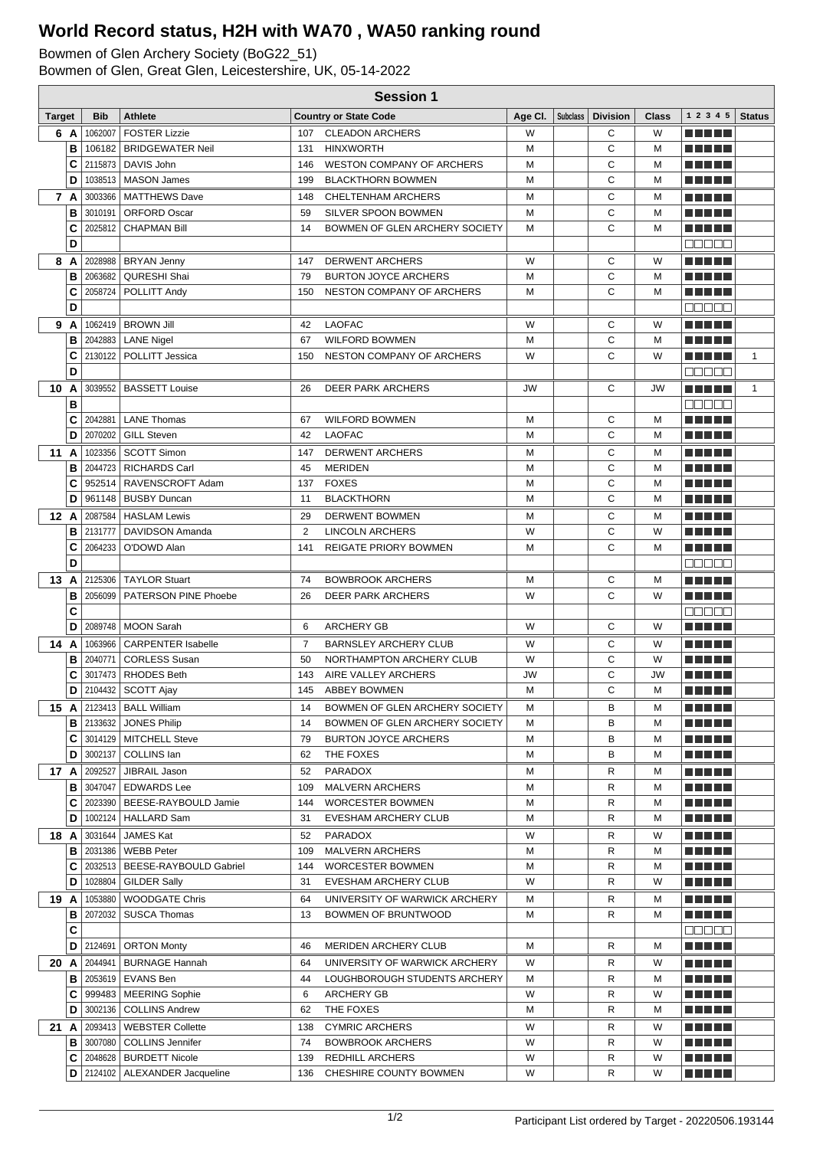## **World Record status, H2H with WA70 , WA50 ranking round**

Bowmen of Glen Archery Society (BoG22\_51)

Bowmen of Glen, Great Glen, Leicestershire, UK, 05-14-2022

|               | <b>Session 1</b> |                    |                                            |                |                                                 |           |  |                     |              |                           |               |
|---------------|------------------|--------------------|--------------------------------------------|----------------|-------------------------------------------------|-----------|--|---------------------|--------------|---------------------------|---------------|
| <b>Target</b> |                  | <b>Bib</b>         | <b>Athlete</b>                             |                | <b>Country or State Code</b>                    | Age Cl.   |  | Subclass   Division | <b>Class</b> | 1 2 3 4 5                 | <b>Status</b> |
|               | 6 A              | 1062007            | <b>FOSTER Lizzie</b>                       | 107            | <b>CLEADON ARCHERS</b>                          | W         |  | С                   | W            |                           |               |
|               | в                |                    | 106182   BRIDGEWATER Neil                  | 131            | <b>HINXWORTH</b>                                | м         |  | С                   | м            | <u> Literatur in s</u>    |               |
|               | C                | 2115873            | DAVIS John                                 | 146            | <b>WESTON COMPANY OF ARCHERS</b>                | м         |  | C                   | м            | MA MBO                    |               |
|               | D                | 1038513            | <b>MASON James</b>                         | 199            | <b>BLACKTHORN BOWMEN</b>                        | м         |  | C                   | м            |                           |               |
|               | 7 A              | 3003366            | <b>MATTHEWS Dave</b>                       | 148            | <b>CHELTENHAM ARCHERS</b>                       | м         |  | С                   | м            | MA MPL                    |               |
|               | в                | 3010191            | <b>ORFORD Oscar</b>                        | 59             | SILVER SPOON BOWMEN                             | M         |  | C                   | M            |                           |               |
|               | C                | 2025812            | <b>CHAPMAN Bill</b>                        | 14             | BOWMEN OF GLEN ARCHERY SOCIETY                  | M         |  | C                   | M            | an bin bin b              |               |
|               | D                |                    |                                            |                |                                                 |           |  |                     |              | Maaaa                     |               |
|               | 8 A              |                    | 2028988   BRYAN Jenny                      | 147            | <b>DERWENT ARCHERS</b>                          | W         |  | С                   | W            | MA MBO                    |               |
|               | в                | 2063682            | QURESHI Shai                               | 79             | <b>BURTON JOYCE ARCHERS</b>                     | M         |  | C                   | M            |                           |               |
|               | C                |                    | 2058724   POLLITT Andy                     | 150            | NESTON COMPANY OF ARCHERS                       | M         |  | С                   | м            |                           |               |
|               | D                |                    |                                            |                |                                                 |           |  |                     |              | Maaaa                     |               |
|               | 9 A              |                    | 1062419   BROWN Jill                       | 42             | <b>LAOFAC</b>                                   | W         |  | С                   | W            | m minimi                  |               |
|               | в                |                    | 2042883   LANE Nigel                       | 67             | <b>WILFORD BOWMEN</b>                           | м         |  | C                   | M            | ma mata                   |               |
|               | C                |                    | 2130122   POLLITT Jessica                  | 150            | NESTON COMPANY OF ARCHERS                       | W         |  | C                   | W            | n di Titolo               | $\mathbf{1}$  |
|               | D                |                    |                                            |                |                                                 |           |  |                     |              | e de e e                  |               |
| 10            | Α                | 3039552            | <b>BASSETT Louise</b>                      | 26             | <b>DEER PARK ARCHERS</b>                        | <b>JW</b> |  | С                   | <b>JW</b>    | <u> El Bertin</u>         | $\mathbf{1}$  |
|               | В                |                    |                                            |                |                                                 |           |  |                     |              | nnnn                      |               |
|               | C                | 2042881            | <b>LANE Thomas</b>                         | 67             | <b>WILFORD BOWMEN</b>                           | м         |  | С                   | м            | ma mata                   |               |
|               | D                | 2070202            | <b>GILL Steven</b>                         | 42             | <b>LAOFAC</b>                                   | M         |  | C                   | м            | n di Titolo               |               |
| 11            | A                | 1023356            | SCOTT Simon                                | 147            | <b>DERWENT ARCHERS</b>                          | м         |  | С                   | М            | n din bir                 |               |
|               | в                | 2044723            | <b>RICHARDS Carl</b>                       | 45             | <b>MERIDEN</b>                                  | M         |  | С                   | м            |                           |               |
|               | C                | 952514             | RAVENSCROFT Adam                           | 137            | <b>FOXES</b>                                    | M         |  | C                   | M            | m minimi                  |               |
|               | D                | 961148             | <b>BUSBY Duncan</b>                        | 11             | <b>BLACKTHORN</b>                               | м         |  | C                   | м            | a di seb                  |               |
| 12 A          |                  | 2087584            | <b>HASLAM Lewis</b>                        | 29             | <b>DERWENT BOWMEN</b>                           | м         |  | С                   | м            | n di Titolo               |               |
|               | в                | 2131777            | DAVIDSON Amanda                            | $\overline{2}$ | <b>LINCOLN ARCHERS</b>                          | W         |  | C                   | W            |                           |               |
|               | C                | 2064233            | O'DOWD Alan                                | 141            | <b>REIGATE PRIORY BOWMEN</b>                    | M         |  | C                   | M            | an bin bin b              |               |
|               | D                |                    |                                            |                |                                                 |           |  |                     |              | MUNU U                    |               |
| 13            | A                |                    | 2125306   TAYLOR Stuart                    | 74             | <b>BOWBROOK ARCHERS</b>                         | М         |  | С                   | М            | .                         |               |
|               | В                | 2056099            | PATERSON PINE Phoebe                       | 26             | <b>DEER PARK ARCHERS</b>                        | W         |  | C                   | W            | NA NA PIA                 |               |
|               | C                |                    |                                            |                |                                                 |           |  |                     |              | 88888                     |               |
|               | D                | 2089748            | MOON Sarah                                 | 6              | <b>ARCHERY GB</b>                               | W         |  | C                   | W            | n di Titolo               |               |
| 14 A          |                  |                    | 1063966   CARPENTER Isabelle               | $\overline{7}$ | <b>BARNSLEY ARCHERY CLUB</b>                    | W         |  | С<br>C              | W            | MA MPL<br><b>THE REAL</b> |               |
|               | в<br>C           | 2040771<br>3017473 | <b>CORLESS Susan</b><br><b>RHODES Beth</b> | 50<br>143      | NORTHAMPTON ARCHERY CLUB<br>AIRE VALLEY ARCHERS | W<br>JW   |  | С                   | W<br>JW      | <b>THE REAL</b>           |               |
|               | D                | 2104432            | SCOTT Ajay                                 | 145            | <b>ABBEY BOWMEN</b>                             | M         |  | C                   | M            | n di Titolo               |               |
|               |                  |                    | 15 A   2123413   BALL William              | 14             | BOWMEN OF GLEN ARCHERY SOCIETY                  | м         |  | в                   | м            | Martin Mar                |               |
|               |                  | <b>B</b>   2133632 | JONES Philip                               | 14             | BOWMEN OF GLEN ARCHERY SOCIETY                  | М         |  | в                   | М            | ma matsa                  |               |
|               | С                |                    | 3014129   MITCHELL Steve                   | 79             | <b>BURTON JOYCE ARCHERS</b>                     | М         |  | В                   | М            | <u> Literatur</u>         |               |
|               | D                |                    | 3002137   COLLINS Ian                      | 62             | THE FOXES                                       | М         |  | в                   | м            | a di kacamatan Ing        |               |
|               | 17A              | 2092527            | JIBRAIL Jason                              | 52             | PARADOX                                         | м         |  | R                   | м            | <u> Literatur</u>         |               |
|               | В                |                    | 3047047   EDWARDS Lee                      | 109            | MALVERN ARCHERS                                 | м         |  | R                   | м            | <u> Literatur</u>         |               |
|               | С                |                    | 2023390   BEESE-RAYBOULD Jamie             | 144            | <b>WORCESTER BOWMEN</b>                         | М         |  | R                   | M            | e de la politik           |               |
|               | D                |                    | 1002124   HALLARD Sam                      | 31             | EVESHAM ARCHERY CLUB                            | М         |  | R                   | м            | <u> El El E</u> l         |               |
| 18 A          |                  |                    | 3031644 JAMES Kat                          | 52             | PARADOX                                         | W         |  | R                   | W            | <u> Listo Lit</u>         |               |
|               | В                |                    | 2031386   WEBB Peter                       | 109            | <b>MALVERN ARCHERS</b>                          | М         |  | R                   | м            | <u> El Bell</u>           |               |
|               | С                |                    | 2032513   BEESE-RAYBOULD Gabriel           | 144            | <b>WORCESTER BOWMEN</b>                         | М         |  | R                   | M            | <u> Listo Lit</u>         |               |
|               | D                |                    | 1028804   GILDER Sally                     | 31             | EVESHAM ARCHERY CLUB                            | W         |  | R                   | W            | M E H H                   |               |
| 19 A          |                  |                    | 1053880   WOODGATE Chris                   | 64             | UNIVERSITY OF WARWICK ARCHERY                   | М         |  | R                   | M            | <u> Listo Lit</u>         |               |
|               | в                |                    | 2072032   SUSCA Thomas                     | 13             | BOWMEN OF BRUNTWOOD                             | М         |  | R                   | M            | <u> La Barta</u>          |               |
|               | С                |                    |                                            |                |                                                 |           |  |                     |              | Maaaa                     |               |
|               | D                |                    | 2124691   ORTON Monty                      | 46             | <b>MERIDEN ARCHERY CLUB</b>                     | М         |  | R                   | М            | <u> Literatur</u>         |               |
|               | 20 A             |                    | 2044941   BURNAGE Hannah                   | 64             | UNIVERSITY OF WARWICK ARCHERY                   | W         |  | R                   | W            | <u> Literatur</u>         |               |
|               | В                |                    | 2053619   EVANS Ben                        | 44             | LOUGHBOROUGH STUDENTS ARCHERY                   | М         |  | R                   | M            | <u> La Barta</u>          |               |
|               | С                |                    | 999483   MEERING Sophie                    | 6              | ARCHERY GB                                      | W         |  | R                   | W            | <u> Literatur</u>         |               |
|               | D                |                    | 3002136   COLLINS Andrew                   | 62             | THE FOXES                                       | М         |  | R                   | м            | <u> Here i Her</u>        |               |
|               | 21 A             |                    | 2093413   WEBSTER Collette                 | 138            | <b>CYMRIC ARCHERS</b>                           | W         |  | R                   | W            | <u> La Barta</u>          |               |
|               | в                |                    | 3007080   COLLINS Jennifer                 | 74             | <b>BOWBROOK ARCHERS</b>                         | W         |  | R                   | W            | e de la politik           |               |
|               | С                |                    | 2048628   BURDETT Nicole                   | 139            | REDHILL ARCHERS                                 | W         |  | R                   | W            | <u> Literatur</u>         |               |
|               | D                |                    | 2124102   ALEXANDER Jacqueline             | 136            | CHESHIRE COUNTY BOWMEN                          | W         |  | R                   | W            | ME SE S                   |               |